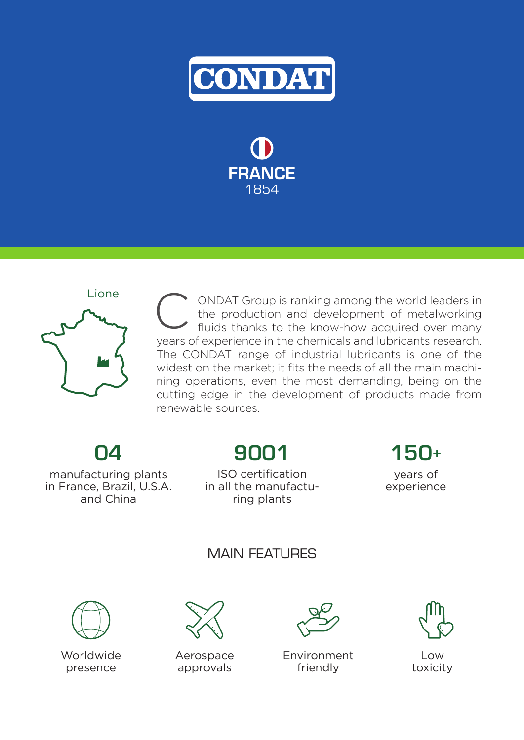

FRANCE 1854



ONDAT Group is ranking among the world leaders in the production and development of metalworking fluids thanks to the know-how acquired over many years of experience in the chemicals and lubricants research. The CONDAT range of industrial lubricants is one of the widest on the market; it fits the needs of all the main machining operations, even the most demanding, being on the cutting edge in the development of products made from renewable sources.

04

manufacturing plants in France, Brazil, U.S.A. and China

9001

ISO certification in all the manufacturing plants

150+ years of

experience

## MAIN FFATI IRFS



Worldwide presence



Aerospace approvals



Environment friendly



Low toxicity